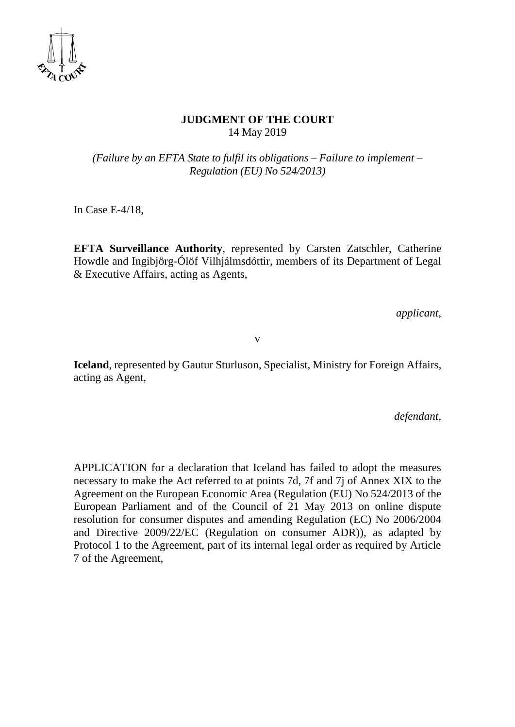

### **JUDGMENT OF THE COURT**  14 May 2019

*(Failure by an EFTA State to fulfil its obligations – Failure to implement – Regulation (EU) No 524/2013)*

In Case E-4/18,

**EFTA Surveillance Authority**, represented by Carsten Zatschler, Catherine Howdle and Ingibjörg-Ólöf Vilhjálmsdóttir, members of its Department of Legal & Executive Affairs, acting as Agents,

*applicant*,

v

**Iceland**, represented by Gautur Sturluson, Specialist, Ministry for Foreign Affairs, acting as Agent,

*defendant*,

APPLICATION for a declaration that Iceland has failed to adopt the measures necessary to make the Act referred to at points 7d, 7f and 7j of Annex XIX to the Agreement on the European Economic Area (Regulation (EU) No 524/2013 of the European Parliament and of the Council of 21 May 2013 on online dispute resolution for consumer disputes and amending Regulation (EC) No 2006/2004 and Directive 2009/22/EC (Regulation on consumer ADR)), as adapted by Protocol 1 to the Agreement, part of its internal legal order as required by Article 7 of the Agreement,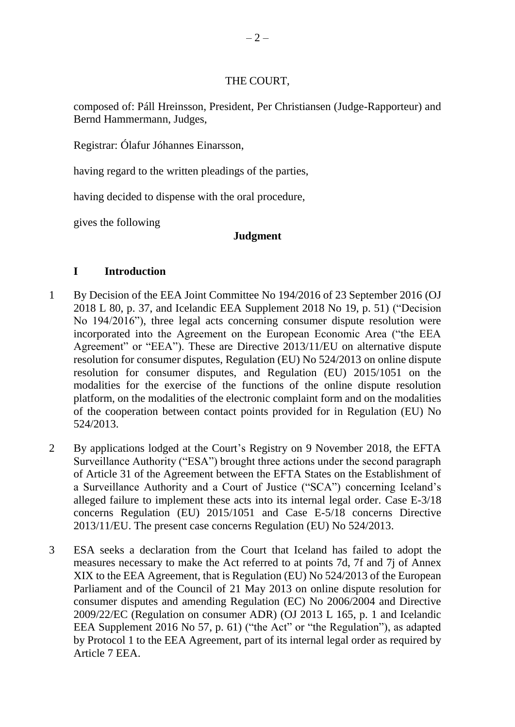## THE COURT,

composed of: Páll Hreinsson, President, Per Christiansen (Judge-Rapporteur) and Bernd Hammermann, Judges,

Registrar: Ólafur Jóhannes Einarsson,

having regard to the written pleadings of the parties,

having decided to dispense with the oral procedure,

gives the following

## **Judgment**

# **I Introduction**

- 1 By Decision of the EEA Joint Committee No 194/2016 of 23 September 2016 (OJ 2018 L 80, p. 37, and Icelandic EEA Supplement 2018 No 19, p. 51) ("Decision No 194/2016"), three legal acts concerning consumer dispute resolution were incorporated into the Agreement on the European Economic Area ("the EEA Agreement" or "EEA"). These are Directive 2013/11/EU on alternative dispute resolution for consumer disputes, Regulation (EU) No 524/2013 on online dispute resolution for consumer disputes, and Regulation (EU) 2015/1051 on the modalities for the exercise of the functions of the online dispute resolution platform, on the modalities of the electronic complaint form and on the modalities of the cooperation between contact points provided for in Regulation (EU) No 524/2013.
- 2 By applications lodged at the Court's Registry on 9 November 2018, the EFTA Surveillance Authority ("ESA") brought three actions under the second paragraph of Article 31 of the Agreement between the EFTA States on the Establishment of a Surveillance Authority and a Court of Justice ("SCA") concerning Iceland's alleged failure to implement these acts into its internal legal order. Case E-3/18 concerns Regulation (EU) 2015/1051 and Case E-5/18 concerns Directive 2013/11/EU. The present case concerns Regulation (EU) No 524/2013.
- 3 ESA seeks a declaration from the Court that Iceland has failed to adopt the measures necessary to make the Act referred to at points 7d, 7f and 7j of Annex XIX to the EEA Agreement, that is Regulation (EU) No 524/2013 of the European Parliament and of the Council of 21 May 2013 on online dispute resolution for consumer disputes and amending Regulation (EC) No 2006/2004 and Directive 2009/22/EC (Regulation on consumer ADR) (OJ 2013 L 165, p. 1 and Icelandic EEA Supplement 2016 No 57, p. 61) ("the Act" or "the Regulation"), as adapted by Protocol 1 to the EEA Agreement, part of its internal legal order as required by Article 7 EEA.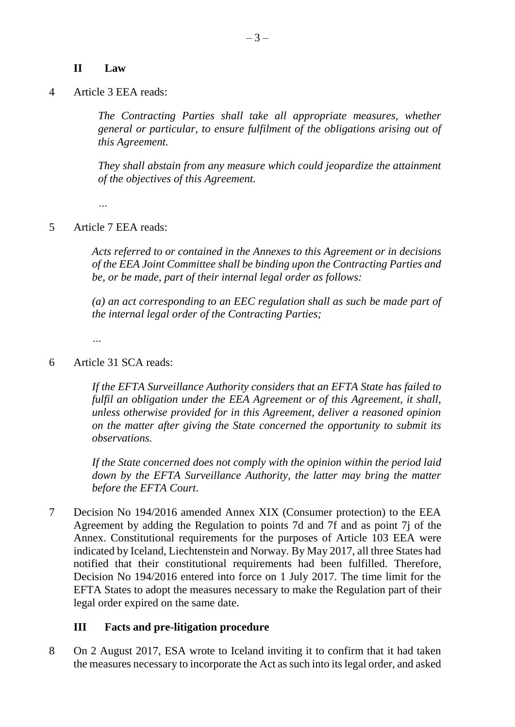#### **II Law**

4 Article 3 EEA reads:

*The Contracting Parties shall take all appropriate measures, whether general or particular, to ensure fulfilment of the obligations arising out of this Agreement.*

*They shall abstain from any measure which could jeopardize the attainment of the objectives of this Agreement.*

*…*

5 Article 7 EEA reads:

*Acts referred to or contained in the Annexes to this Agreement or in decisions of the EEA Joint Committee shall be binding upon the Contracting Parties and be, or be made, part of their internal legal order as follows:*

*(a) an act corresponding to an EEC regulation shall as such be made part of the internal legal order of the Contracting Parties;*

*…*

6 Article 31 SCA reads:

*If the EFTA Surveillance Authority considers that an EFTA State has failed to fulfil an obligation under the EEA Agreement or of this Agreement, it shall, unless otherwise provided for in this Agreement, deliver a reasoned opinion on the matter after giving the State concerned the opportunity to submit its observations.*

*If the State concerned does not comply with the opinion within the period laid down by the EFTA Surveillance Authority, the latter may bring the matter before the EFTA Court*.

7 Decision No 194/2016 amended Annex XIX (Consumer protection) to the EEA Agreement by adding the Regulation to points 7d and 7f and as point 7j of the Annex. Constitutional requirements for the purposes of Article 103 EEA were indicated by Iceland, Liechtenstein and Norway. By May 2017, all three States had notified that their constitutional requirements had been fulfilled. Therefore, Decision No 194/2016 entered into force on 1 July 2017. The time limit for the EFTA States to adopt the measures necessary to make the Regulation part of their legal order expired on the same date.

#### **III Facts and pre-litigation procedure**

8 On 2 August 2017, ESA wrote to Iceland inviting it to confirm that it had taken the measures necessary to incorporate the Act as such into its legal order, and asked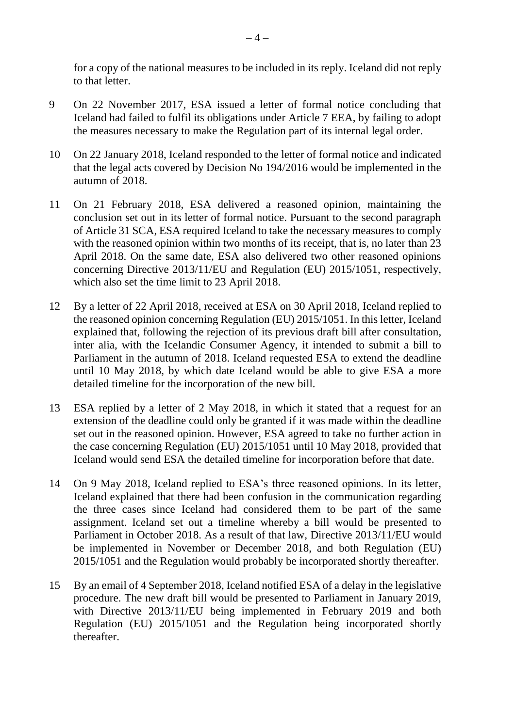for a copy of the national measures to be included in its reply. Iceland did not reply to that letter.

- 9 On 22 November 2017, ESA issued a letter of formal notice concluding that Iceland had failed to fulfil its obligations under Article 7 EEA, by failing to adopt the measures necessary to make the Regulation part of its internal legal order.
- 10 On 22 January 2018, Iceland responded to the letter of formal notice and indicated that the legal acts covered by Decision No 194/2016 would be implemented in the autumn of 2018.
- 11 On 21 February 2018, ESA delivered a reasoned opinion, maintaining the conclusion set out in its letter of formal notice. Pursuant to the second paragraph of Article 31 SCA, ESA required Iceland to take the necessary measures to comply with the reasoned opinion within two months of its receipt, that is, no later than 23 April 2018. On the same date, ESA also delivered two other reasoned opinions concerning Directive 2013/11/EU and Regulation (EU) 2015/1051, respectively, which also set the time limit to 23 April 2018.
- 12 By a letter of 22 April 2018, received at ESA on 30 April 2018, Iceland replied to the reasoned opinion concerning Regulation (EU) 2015/1051. In this letter, Iceland explained that, following the rejection of its previous draft bill after consultation, inter alia, with the Icelandic Consumer Agency, it intended to submit a bill to Parliament in the autumn of 2018. Iceland requested ESA to extend the deadline until 10 May 2018, by which date Iceland would be able to give ESA a more detailed timeline for the incorporation of the new bill.
- 13 ESA replied by a letter of 2 May 2018, in which it stated that a request for an extension of the deadline could only be granted if it was made within the deadline set out in the reasoned opinion. However, ESA agreed to take no further action in the case concerning Regulation (EU) 2015/1051 until 10 May 2018, provided that Iceland would send ESA the detailed timeline for incorporation before that date.
- 14 On 9 May 2018, Iceland replied to ESA's three reasoned opinions. In its letter, Iceland explained that there had been confusion in the communication regarding the three cases since Iceland had considered them to be part of the same assignment. Iceland set out a timeline whereby a bill would be presented to Parliament in October 2018. As a result of that law, Directive 2013/11/EU would be implemented in November or December 2018, and both Regulation (EU) 2015/1051 and the Regulation would probably be incorporated shortly thereafter.
- 15 By an email of 4 September 2018, Iceland notified ESA of a delay in the legislative procedure. The new draft bill would be presented to Parliament in January 2019, with Directive 2013/11/EU being implemented in February 2019 and both Regulation (EU) 2015/1051 and the Regulation being incorporated shortly thereafter.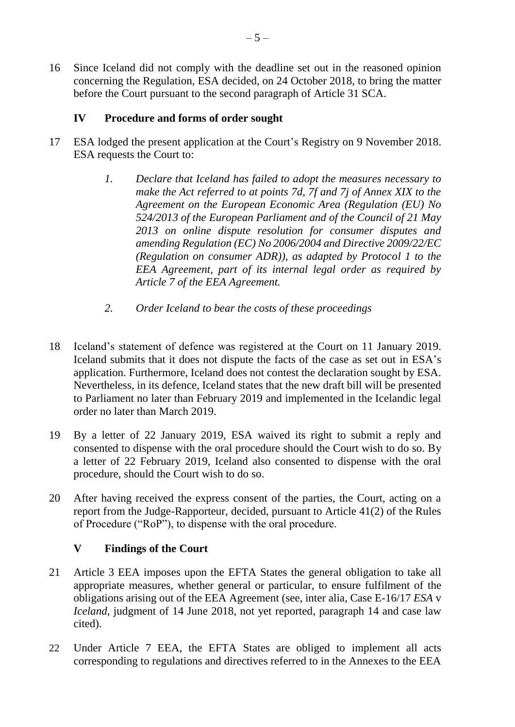16 Since Iceland did not comply with the deadline set out in the reasoned opinion concerning the Regulation, ESA decided, on 24 October 2018, to bring the matter before the Court pursuant to the second paragraph of Article 31 SCA.

## **IV Procedure and forms of order sought**

- 17 ESA lodged the present application at the Court's Registry on 9 November 2018. ESA requests the Court to:
	- *1. Declare that Iceland has failed to adopt the measures necessary to make the Act referred to at points 7d, 7f and 7j of Annex XIX to the Agreement on the European Economic Area (Regulation (EU) No 524/2013 of the European Parliament and of the Council of 21 May 2013 on online dispute resolution for consumer disputes and amending Regulation (EC) No 2006/2004 and Directive 2009/22/EC (Regulation on consumer ADR)), as adapted by Protocol 1 to the EEA Agreement, part of its internal legal order as required by Article 7 of the EEA Agreement.*
	- *2. Order Iceland to bear the costs of these proceedings*
- 18 Iceland's statement of defence was registered at the Court on 11 January 2019. Iceland submits that it does not dispute the facts of the case as set out in ESA's application. Furthermore, Iceland does not contest the declaration sought by ESA. Nevertheless, in its defence, Iceland states that the new draft bill will be presented to Parliament no later than February 2019 and implemented in the Icelandic legal order no later than March 2019.
- 19 By a letter of 22 January 2019, ESA waived its right to submit a reply and consented to dispense with the oral procedure should the Court wish to do so. By a letter of 22 February 2019, Iceland also consented to dispense with the oral procedure, should the Court wish to do so.
- 20 After having received the express consent of the parties, the Court, acting on a report from the Judge-Rapporteur, decided, pursuant to Article 41(2) of the Rules of Procedure ("RoP"), to dispense with the oral procedure.

## **V Findings of the Court**

- 21 Article 3 EEA imposes upon the EFTA States the general obligation to take all appropriate measures, whether general or particular, to ensure fulfilment of the obligations arising out of the EEA Agreement (see, inter alia, Case E-16/17 *ESA* v *Iceland*, judgment of 14 June 2018, not yet reported, paragraph 14 and case law cited).
- 22 Under Article 7 EEA, the EFTA States are obliged to implement all acts corresponding to regulations and directives referred to in the Annexes to the EEA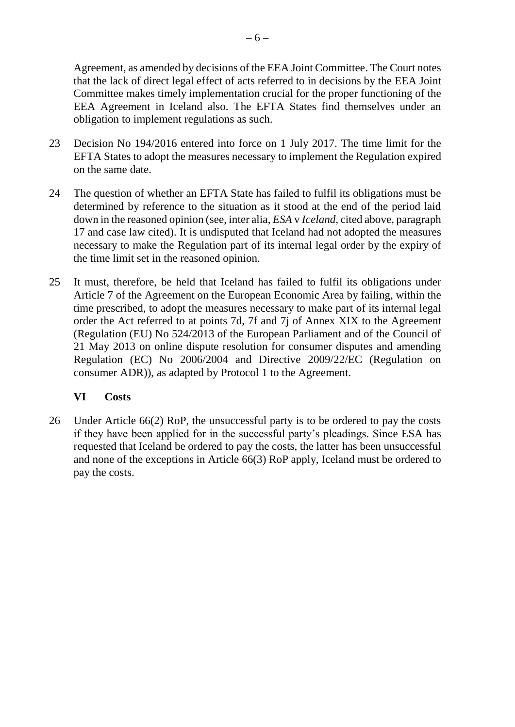Agreement, as amended by decisions of the EEA Joint Committee. The Court notes that the lack of direct legal effect of acts referred to in decisions by the EEA Joint Committee makes timely implementation crucial for the proper functioning of the EEA Agreement in Iceland also. The EFTA States find themselves under an obligation to implement regulations as such.

- 23 Decision No 194/2016 entered into force on 1 July 2017. The time limit for the EFTA States to adopt the measures necessary to implement the Regulation expired on the same date.
- 24 The question of whether an EFTA State has failed to fulfil its obligations must be determined by reference to the situation as it stood at the end of the period laid down in the reasoned opinion (see, inter alia, *ESA* v *Iceland*, cited above, paragraph 17 and case law cited). It is undisputed that Iceland had not adopted the measures necessary to make the Regulation part of its internal legal order by the expiry of the time limit set in the reasoned opinion.
- 25 It must, therefore, be held that Iceland has failed to fulfil its obligations under Article 7 of the Agreement on the European Economic Area by failing, within the time prescribed, to adopt the measures necessary to make part of its internal legal order the Act referred to at points 7d, 7f and 7j of Annex XIX to the Agreement (Regulation (EU) No 524/2013 of the European Parliament and of the Council of 21 May 2013 on online dispute resolution for consumer disputes and amending Regulation (EC) No 2006/2004 and Directive 2009/22/EC (Regulation on consumer ADR)), as adapted by Protocol 1 to the Agreement.

# **VI Costs**

26 Under Article 66(2) RoP, the unsuccessful party is to be ordered to pay the costs if they have been applied for in the successful party's pleadings. Since ESA has requested that Iceland be ordered to pay the costs, the latter has been unsuccessful and none of the exceptions in Article 66(3) RoP apply, Iceland must be ordered to pay the costs.